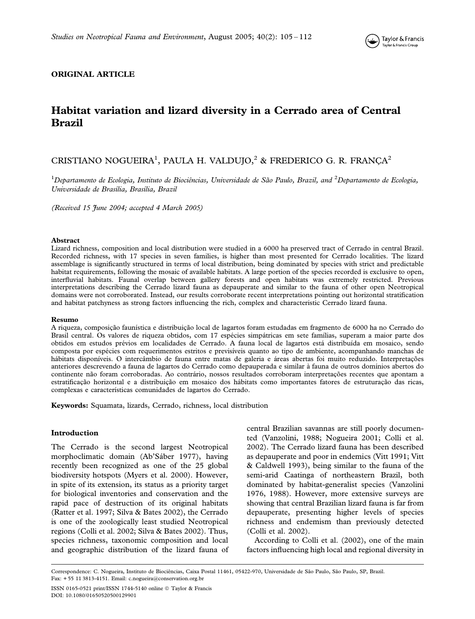

## ORIGINAL ARTICLE

# Habitat variation and lizard diversity in a Cerrado area of Central Brazil

## CRISTIANO NOGUEIRA<sup>1</sup>, PAULA H. VALDUJO,<sup>2</sup> & FREDERICO G. R. FRANÇA<sup>2</sup>

<sup>1</sup>Departamento de Ecologia, Instituto de Biociências, Universidade de São Paulo, Brazil, and <sup>2</sup>Departamento de Ecologia, Universidade de Brasília, Brasília, Brazil

(Received 15 June 2004; accepted 4 March 2005)

#### Abstract

Lizard richness, composition and local distribution were studied in a 6000 ha preserved tract of Cerrado in central Brazil. Recorded richness, with 17 species in seven families, is higher than most presented for Cerrado localities. The lizard assemblage is significantly structured in terms of local distribution, being dominated by species with strict and predictable habitat requirements, following the mosaic of available habitats. A large portion of the species recorded is exclusive to open, interfluvial habitats. Faunal overlap between gallery forests and open habitats was extremely restricted. Previous interpretations describing the Cerrado lizard fauna as depauperate and similar to the fauna of other open Neotropical domains were not corroborated. Instead, our results corroborate recent interpretations pointing out horizontal stratification and habitat patchyness as strong factors influencing the rich, complex and characteristic Cerrado lizard fauna.

#### Resumo

A riqueza, composição faunística e distribuição local de lagartos foram estudadas em fragmento de 6000 ha no Cerrado do Brasil central. Os valores de riqueza obtidos, com 17 espécies simpátricas em sete famílias, superam a maior parte dos obtidos em estudos pre´vios em localidades de Cerrado. A fauna local de lagartos esta´ distribuı´da em mosaico, sendo composta por espécies com requerimentos estritos e previsíveis quanto ao tipo de ambiente, acompanhando manchas de hábitats disponíveis. O intercâmbio de fauna entre matas de galeria e áreas abertas foi muito reduzido. Interpretações anteriores descrevendo a fauna de lagartos do Cerrado como depauperada e similar à fauna de outros domínios abertos do continente não foram corroboradas. Ao contrário, nossos resultados corroboram interpretações recentes que apontam a estratificação horizontal e a distribuição em mosaico dos hábitats como importantes fatores de estruturação das ricas, complexas e características comunidades de lagartos do Cerrado.

Keywords: Squamata, lizards, Cerrado, richness, local distribution

#### Introduction

The Cerrado is the second largest Neotropical morphoclimatic domain (Ab'Sáber 1977), having recently been recognized as one of the 25 global biodiversity hotspots (Myers et al. 2000). However, in spite of its extension, its status as a priority target for biological inventories and conservation and the rapid pace of destruction of its original habitats (Ratter et al. 1997; Silva & Bates 2002), the Cerrado is one of the zoologically least studied Neotropical regions (Colli et al. 2002; Silva & Bates 2002). Thus, species richness, taxonomic composition and local and geographic distribution of the lizard fauna of central Brazilian savannas are still poorly documented (Vanzolini, 1988; Nogueira 2001; Colli et al. 2002). The Cerrado lizard fauna has been described as depauperate and poor in endemics (Vitt 1991; Vitt & Caldwell 1993), being similar to the fauna of the semi-arid Caatinga of northeastern Brazil, both dominated by habitat-generalist species (Vanzolini 1976, 1988). However, more extensive surveys are showing that central Brazilian lizard fauna is far from depauperate, presenting higher levels of species richness and endemism than previously detected (Colli et al. 2002).

According to Colli et al. (2002), one of the main factors influencing high local and regional diversity in

Correspondence: C. Nogueira, Instituto de Biociências, Caixa Postal 11461, 05422-970, Universidade de São Paulo, São Paulo, SP, Brazil. Fax: + 55 11 3813-4151. Email: c.nogueira@conservation.org.br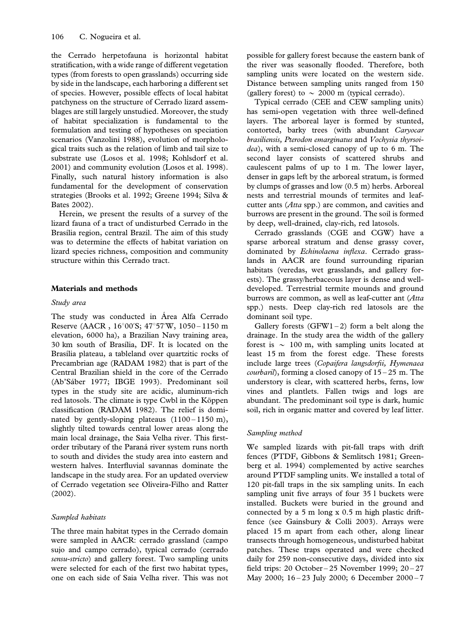the Cerrado herpetofauna is horizontal habitat stratification, with a wide range of different vegetation types (from forests to open grasslands) occurring side by side in the landscape, each harboring a different set of species. However, possible effects of local habitat patchyness on the structure of Cerrado lizard assemblages are still largely unstudied. Moreover, the study of habitat specialization is fundamental to the formulation and testing of hypotheses on speciation scenarios (Vanzolini 1988), evolution of morphological traits such as the relation of limb and tail size to substrate use (Losos et al. 1998; Kohlsdorf et al. 2001) and community evolution (Losos et al. 1998). Finally, such natural history information is also fundamental for the development of conservation strategies (Brooks et al. 1992; Greene 1994; Silva & Bates 2002).

Herein, we present the results of a survey of the lizard fauna of a tract of undisturbed Cerrado in the Brasília region, central Brazil. The aim of this study was to determine the effects of habitat variation on lizard species richness, composition and community structure within this Cerrado tract.

#### Materials and methods

#### Study area

The study was conducted in Área Alfa Cerrado Reserve (AACR, 16°00'S; 47°57'W, 1050 – 1150 m elevation, 6000 ha), a Brazilian Navy training area, 30 km south of Brasília, DF. It is located on the Brasília plateau, a tableland over quartzitic rocks of Precambrian age (RADAM 1982) that is part of the Central Brazilian shield in the core of the Cerrado (Ab'Sa´ber 1977; IBGE 1993). Predominant soil types in the study site are acidic, aluminum-rich red latosols. The climate is type Cwbl in the Köppen classification (RADAM 1982). The relief is dominated by gently-sloping plateaus  $(1100 - 1150 \text{ m})$ , slightly tilted towards central lower areas along the main local drainage, the Saia Velha river. This firstorder tributary of the Paraná river system runs north to south and divides the study area into eastern and western halves. Interfluvial savannas dominate the landscape in the study area. For an updated overview of Cerrado vegetation see Oliveira-Filho and Ratter (2002).

## Sampled habitats

The three main habitat types in the Cerrado domain were sampled in AACR: cerrado grassland (campo sujo and campo cerrado), typical cerrado (cerrado sensu-stricto) and gallery forest. Two sampling units were selected for each of the first two habitat types, one on each side of Saia Velha river. This was not possible for gallery forest because the eastern bank of the river was seasonally flooded. Therefore, both sampling units were located on the western side. Distance between sampling units ranged from 150 (gallery forest) to  $\sim 2000$  m (typical cerrado).

Typical cerrado (CEE and CEW sampling units) has semi-open vegetation with three well-defined layers. The arboreal layer is formed by stunted, contorted, barky trees (with abundant Caryocar brasiliensis, Pterodon emarginatus and Vochysia thyrsoidea), with a semi-closed canopy of up to 6 m. The second layer consists of scattered shrubs and caulescent palms of up to 1 m. The lower layer, denser in gaps left by the arboreal stratum, is formed by clumps of grasses and low (0.5 m) herbs. Arboreal nests and terrestrial mounds of termites and leafcutter ants (Atta spp.) are common, and cavities and burrows are present in the ground. The soil is formed by deep, well-drained, clay-rich, red latosols.

Cerrado grasslands (CGE and CGW) have a sparse arboreal stratum and dense grassy cover, dominated by *Echinolaena inflexa*. Cerrado grasslands in AACR are found surrounding riparian habitats (veredas, wet grasslands, and gallery forests). The grassy/herbaceous layer is dense and welldeveloped. Terrestrial termite mounds and ground burrows are common, as well as leaf-cutter ant (Atta spp.) nests. Deep clay-rich red latosols are the dominant soil type.

Gallery forests  $(GFW1-2)$  form a belt along the drainage. In the study area the width of the gallery forest is  $\sim$  100 m, with sampling units located at least 15 m from the forest edge. These forests include large trees (Copaifera langsdorfii, Hymenaea *courbaril*), forming a closed canopy of  $15-25$  m. The understory is clear, with scattered herbs, ferns, low vines and plantlets. Fallen twigs and logs are abundant. The predominant soil type is dark, humic soil, rich in organic matter and covered by leaf litter.

#### Sampling method

We sampled lizards with pit-fall traps with drift fences (PTDF, Gibbons & Semlitsch 1981; Greenberg et al. 1994) complemented by active searches around PTDF sampling units. We installed a total of 120 pit-fall traps in the six sampling units. In each sampling unit five arrays of four 35 l buckets were installed. Buckets were buried in the ground and connected by a 5 m long x 0.5 m high plastic driftfence (see Gainsbury & Colli 2003). Arrays were placed 15 m apart from each other, along linear transects through homogeneous, undisturbed habitat patches. These traps operated and were checked daily for 259 non-consecutive days, divided into six field trips: 20 October – 25 November 1999; 20 – 27 May 2000; 16 – 23 July 2000; 6 December 2000 – 7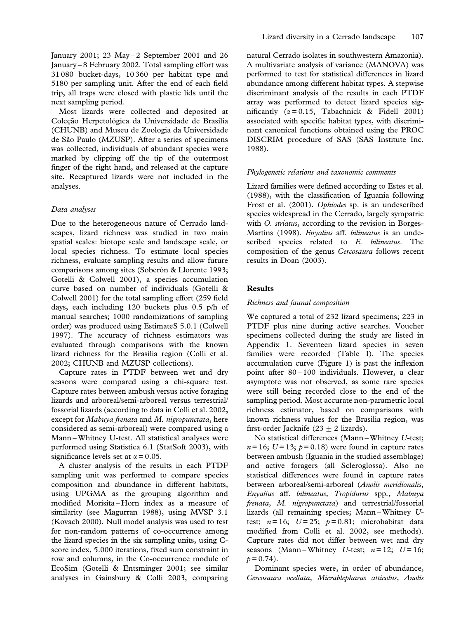January 2001; 23 May – 2 September 2001 and 26 January – 8 February 2002. Total sampling effort was 31 080 bucket-days, 10 360 per habitat type and 5180 per sampling unit. After the end of each field trip, all traps were closed with plastic lids until the next sampling period.

Most lizards were collected and deposited at Coleção Herpetológica da Universidade de Brasília (CHUNB) and Museu de Zoologia da Universidade de São Paulo (MZUSP). After a series of specimens was collected, individuals of abundant species were marked by clipping off the tip of the outermost finger of the right hand, and released at the capture site. Recaptured lizards were not included in the analyses.

#### Data analyses

Due to the heterogeneous nature of Cerrado landscapes, lizard richness was studied in two main spatial scales: biotope scale and landscape scale, or local species richness. To estimate local species richness, evaluate sampling results and allow future comparisons among sites (Soberón & Llorente 1993; Gotelli & Colwell 2001), a species accumulation curve based on number of individuals (Gotelli & Colwell 2001) for the total sampling effort (259 field days, each including 120 buckets plus 0.5 p/h of manual searches; 1000 randomizations of sampling order) was produced using EstimateS 5.0.1 (Colwell 1997). The accuracy of richness estimators was evaluated through comparisons with the known lizard richness for the Brasilia region (Colli et al. 2002; CHUNB and MZUSP collections).

Capture rates in PTDF between wet and dry seasons were compared using a chi-square test. Capture rates between ambush versus active foraging lizards and arboreal/semi-arboreal versus terrestrial/ fossorial lizards (according to data in Colli et al. 2002, except for Mabuya frenata and M. nigropunctata, here considered as semi-arboreal) were compared using a Mann – Whitney U-test. All statistical analyses were performed using Statistica 6.1 (StatSoft 2003), with significance levels set at  $\alpha$  = 0.05.

A cluster analysis of the results in each PTDF sampling unit was performed to compare species composition and abundance in different habitats, using UPGMA as the grouping algorithm and modified Morisita – Horn index as a measure of similarity (see Magurran 1988), using MVSP 3.1 (Kovach 2000). Null model analysis was used to test for non-random patterns of co-occurrence among the lizard species in the six sampling units, using Cscore index, 5.000 iterations, fixed sum constraint in row and columns, in the Co-occurrence module of EcoSim (Gotelli & Entsminger 2001; see similar analyses in Gainsbury & Colli 2003, comparing natural Cerrado isolates in southwestern Amazonia). A multivariate analysis of variance (MANOVA) was performed to test for statistical differences in lizard abundance among different habitat types. A stepwise discriminant analysis of the results in each PTDF array was performed to detect lizard species significantly ( $\alpha = 0.15$ , Tabachnick & Fidell 2001) associated with specific habitat types, with discriminant canonical functions obtained using the PROC DISCRIM procedure of SAS (SAS Institute Inc. 1988).

#### Phylogenetic relations and taxonomic comments

Lizard families were defined according to Estes et al. (1988), with the classification of Iguania following Frost et al. (2001). Ophiodes sp. is an undescribed species widespread in the Cerrado, largely sympatric with O. striatus, according to the revision in Borges-Martins (1998). Enyalius aff. bilineatus is an undescribed species related to E. bilineatus. The composition of the genus Cercosaura follows recent results in Doan (2003).

## **Results**

#### Richness and faunal composition

We captured a total of 232 lizard specimens; 223 in PTDF plus nine during active searches. Voucher specimens collected during the study are listed in Appendix 1. Seventeen lizard species in seven families were recorded (Table I). The species accumulation curve (Figure 1) is past the inflexion point after 80-100 individuals. However, a clear asymptote was not observed, as some rare species were still being recorded close to the end of the sampling period. Most accurate non-parametric local richness estimator, based on comparisons with known richness values for the Brasilia region, was first-order Jacknife  $(23 \pm 2 \text{ lizados}).$ 

No statistical differences (Mann – Whitney U-test;  $n = 16$ ;  $U = 13$ ;  $p = 0.18$ ) were found in capture rates between ambush (Iguania in the studied assemblage) and active foragers (all Scleroglossa). Also no statistical differences were found in capture rates between arboreal/semi-arboreal (Anolis meridionalis, Enyalius aff. bilineatus, Tropidurus spp., Mabuya frenata, M. nigropunctata) and terrestrial/fossorial lizards (all remaining species; Mann – Whitney Utest;  $n = 16$ ;  $U = 25$ ;  $p = 0.81$ ; microhabitat data modified from Colli et al. 2002, see methods). Capture rates did not differ between wet and dry seasons (Mann-Whitney U-test;  $n = 12$ ;  $U = 16$ ;  $p = 0.74$ .

Dominant species were, in order of abundance, Cercosaura ocellata, Micrablepharus atticolus, Anolis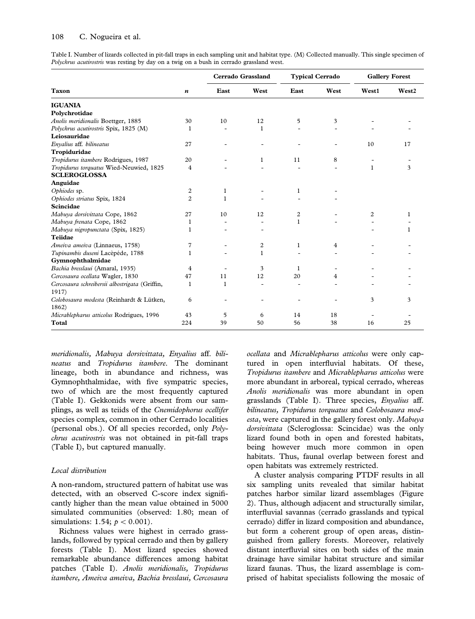Table I. Number of lizards collected in pit-fall traps in each sampling unit and habitat type. (M) Collected manually. This single specimen of Polychrus acutirostris was resting by day on a twig on a bush in cerrado grassland west.

|                                                | $\boldsymbol{n}$ | <b>Cerrado Grassland</b> |              | <b>Typical Cerrado</b> |      | <b>Gallery Forest</b> |                   |
|------------------------------------------------|------------------|--------------------------|--------------|------------------------|------|-----------------------|-------------------|
| <b>Taxon</b>                                   |                  | East                     | West         | East                   | West | West1                 | West <sub>2</sub> |
| <b>IGUANIA</b>                                 |                  |                          |              |                        |      |                       |                   |
| Polychrotidae                                  |                  |                          |              |                        |      |                       |                   |
| Anolis meridionalis Boettger, 1885             | 30               | 10                       | 12           | 5                      | 3    |                       |                   |
| Polychrus acutirostris Spix, 1825 (M)          | 1                |                          | 1            |                        |      |                       |                   |
| Leiosauridae                                   |                  |                          |              |                        |      |                       |                   |
| Enyalius aff. bilineatus                       | 27               |                          |              |                        |      | 10                    | 17                |
| Tropiduridae                                   |                  |                          |              |                        |      |                       |                   |
| Tropidurus itambere Rodrigues, 1987            | 20               |                          | 1            | 11                     | 8    |                       |                   |
| Tropidurus torquatus Wied-Neuwied, 1825        | 4                |                          |              |                        |      | $\mathbf{1}$          | 3                 |
| <b>SCLEROGLOSSA</b>                            |                  |                          |              |                        |      |                       |                   |
| Anguidae                                       |                  |                          |              |                        |      |                       |                   |
| Ophiodes sp.                                   | 2                | $\mathbf{1}$             |              | $\mathbf{1}$           |      |                       |                   |
| Ophiodes striatus Spix, 1824                   | $\overline{c}$   | 1                        |              |                        |      |                       |                   |
| Scincidae                                      |                  |                          |              |                        |      |                       |                   |
| Mabuya dorsivittata Cope, 1862                 | 27               | 10                       | 12           | 2                      |      | 2                     | 1                 |
| Mabuya frenata Cope, 1862                      | 1                |                          |              | $\mathbf{1}$           |      |                       |                   |
| Mabuya nigropunctata (Spix, 1825)              | 1                |                          |              |                        |      |                       | 1                 |
| <b>Teiidae</b>                                 |                  |                          |              |                        |      |                       |                   |
| Ameiva ameiva (Linnaeus, 1758)                 | 7                |                          | 2            | 1                      | 4    |                       |                   |
| Tupinambis duseni Lacèpéde, 1788               | 1                |                          | $\mathbf{1}$ |                        |      |                       |                   |
| Gymnophthalmidae                               |                  |                          |              |                        |      |                       |                   |
| Bachia bresslaui (Amaral, 1935)                | 4                |                          | 3            | -1                     |      |                       |                   |
| Cercosaura ocellata Wagler, 1830               | 47               | 11                       | 12           | 20                     | 4    |                       |                   |
| Cercosaura schreibersii albostrigata (Griffin, | $\mathbf{1}$     | $\mathbf{1}$             |              |                        |      |                       |                   |
| 1917)                                          |                  |                          |              |                        |      |                       |                   |
| Colobosaura modesta (Reinhardt & Lütken,       | 6                |                          |              |                        |      | 3                     | 3                 |
| 1862)                                          |                  |                          |              |                        |      |                       |                   |
| Micrablepharus atticolus Rodrigues, 1996       | 43               | 5                        | 6            | 14                     | 18   |                       |                   |
| Total                                          | 224              | 39                       | 50           | 56                     | 38   | 16                    | 25                |

meridionalis, Mabuya dorsivittata, Enyalius aff. bilineatus and Tropidurus itambere. The dominant lineage, both in abundance and richness, was Gymnophthalmidae, with five sympatric species, two of which are the most frequently captured (Table I). Gekkonids were absent from our samplings, as well as teiids of the Cnemidophorus ocellifer species complex, common in other Cerrado localities (personal obs.). Of all species recorded, only Polychrus acutirostris was not obtained in pit-fall traps (Table I), but captured manually.

## Local distribution

A non-random, structured pattern of habitat use was detected, with an observed C-score index significantly higher than the mean value obtained in 5000 simulated communities (observed: 1.80; mean of simulations: 1.54;  $p < 0.001$ ).

Richness values were highest in cerrado grasslands, followed by typical cerrado and then by gallery forests (Table I). Most lizard species showed remarkable abundance differences among habitat patches (Table I). Anolis meridionalis, Tropidurus itambere, Ameiva ameiva, Bachia bresslaui, Cercosaura

ocellata and Micrablepharus atticolus were only captured in open interfluvial habitats. Of these, Tropidurus itambere and Micrablepharus atticolus were more abundant in arboreal, typical cerrado, whereas Anolis meridionalis was more abundant in open grasslands (Table I). Three species, Enyalius aff. bilineatus, Tropidurus torquatus and Colobosaura modesta, were captured in the gallery forest only. Mabuya dorsivittata (Scleroglossa: Scincidae) was the only lizard found both in open and forested habitats, being however much more common in open habitats. Thus, faunal overlap between forest and open habitats was extremely restricted.

A cluster analysis comparing PTDF results in all six sampling units revealed that similar habitat patches harbor similar lizard assemblages (Figure 2). Thus, although adjacent and structurally similar, interfluvial savannas (cerrado grasslands and typical cerrado) differ in lizard composition and abundance, but form a coherent group of open areas, distinguished from gallery forests. Moreover, relatively distant interfluvial sites on both sides of the main drainage have similar habitat structure and similar lizard faunas. Thus, the lizard assemblage is comprised of habitat specialists following the mosaic of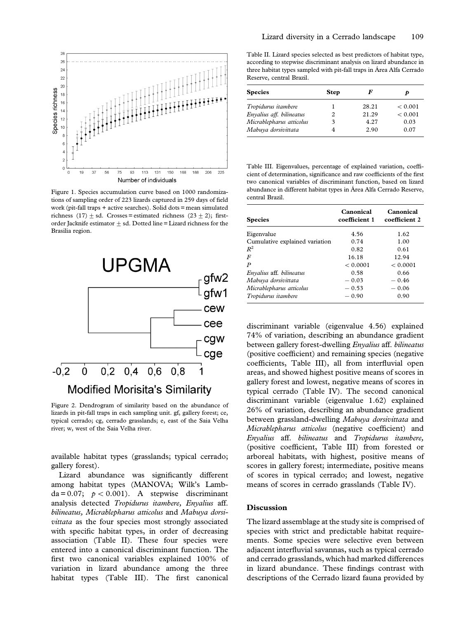

Figure 1. Species accumulation curve based on 1000 randomizations of sampling order of 223 lizards captured in 259 days of field work (pit-fall traps + active searches). Solid dots = mean simulated richness (17)  $\pm$  sd. Crosses = estimated richness (23  $\pm$  2); firstorder Jacknife estimator  $\pm$  sd. Dotted line = Lizard richness for the Brasilia region.



Figure 2. Dendrogram of similarity based on the abundance of lizards in pit-fall traps in each sampling unit. gf, gallery forest; ce, typical cerrado; cg, cerrado grasslands; e, east of the Saia Velha river; w, west of the Saia Velha river.

available habitat types (grasslands; typical cerrado; gallery forest).

Lizard abundance was significantly different among habitat types (MANOVA; Wilk's Lamb $da = 0.07$ ;  $p < 0.001$ ). A stepwise discriminant analysis detected Tropidurus itambere, Enyalius aff. bilineatus, Micrablepharus atticolus and Mabuya dorsivittata as the four species most strongly associated with specific habitat types, in order of decreasing association (Table II). These four species were entered into a canonical discriminant function. The first two canonical variables explained 100% of variation in lizard abundance among the three habitat types (Table III). The first canonical

Table II. Lizard species selected as best predictors of habitat type, according to stepwise discriminant analysis on lizard abundance in three habitat types sampled with pit-fall traps in Área Alfa Cerrado Reserve, central Brazil.

| <b>Species</b>           | <b>Step</b> | F     | P       |
|--------------------------|-------------|-------|---------|
| Tropidurus itambere      |             | 28.21 | < 0.001 |
| Envalius aff. bilineatus | 2           | 21.29 | < 0.001 |
| Micrablepharus atticolus | 3           | 4.27  | 0.03    |
| Mabuya dorsivittata      |             | 2.90  | 0.07    |

Table III. Eigenvalues, percentage of explained variation, coefficient of determination, significance and raw coefficients of the first two canonical variables of discriminant function, based on lizard abundance in different habitat types in Área Alfa Cerrado Reserve, central Brazil.

| <b>Species</b>                         | Canonical<br>coefficient 1 | Canonical<br>coefficient 2 |
|----------------------------------------|----------------------------|----------------------------|
| Eigenvalue                             | 4.56                       | 1.62                       |
| Cumulative explained variation         | 0.74                       | 1.00                       |
| $R^2$                                  | 0.82                       | 0.61                       |
| $\boldsymbol{F}$                       | 16.18                      | 12.94                      |
| P                                      | < 0.0001                   | < 0.0001                   |
| <i>Envalius</i> aff. <i>bilineatus</i> | 0.58                       | 0.66                       |
| Mabuya dorsivittata                    | $-0.03$                    | $-0.46$                    |
| Micrablepharus atticolus               | $-0.53$                    | $-0.06$                    |
| Tropidurus itambere                    | $-0.90$                    | 0.90                       |

discriminant variable (eigenvalue 4.56) explained 74% of variation, describing an abundance gradient between gallery forest-dwelling Enyalius aff. bilineatus (positive coefficient) and remaining species (negative coefficients, Table III), all from interfluvial open areas, and showed highest positive means of scores in gallery forest and lowest, negative means of scores in typical cerrado (Table IV). The second canonical discriminant variable (eigenvalue 1.62) explained 26% of variation, describing an abundance gradient between grassland-dwelling Mabuya dorsivittata and Micrablepharus atticolus (negative coefficient) and Enyalius aff. bilineatus and Tropidurus itambere, (positive coefficient, Table III) from forested or arboreal habitats, with highest, positive means of scores in gallery forest; intermediate, positive means of scores in typical cerrado; and lowest, negative means of scores in cerrado grasslands (Table IV).

#### Discussion

The lizard assemblage at the study site is comprised of species with strict and predictable habitat requirements. Some species were selective even between adjacent interfluvial savannas, such as typical cerrado and cerrado grasslands, which had marked differences in lizard abundance. These findings contrast with descriptions of the Cerrado lizard fauna provided by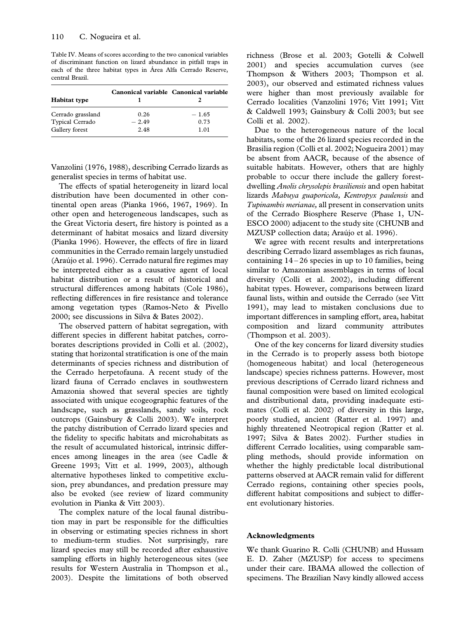Table IV. Means of scores according to the two canonical variables of discriminant function on lizard abundance in pitfall traps in each of the three habitat types in Área Alfa Cerrado Reserve, central Brazil.

| <b>Habitat type</b> |         | Canonical variable Canonical variable |
|---------------------|---------|---------------------------------------|
| Cerrado grassland   | 0.26    | $-1.65$                               |
| Typical Cerrado     | $-2.49$ | 0.73                                  |
| Gallery forest      | 2.48    | 1.01                                  |

Vanzolini (1976, 1988), describing Cerrado lizards as generalist species in terms of habitat use.

The effects of spatial heterogeneity in lizard local distribution have been documented in other continental open areas (Pianka 1966, 1967, 1969). In other open and heterogeneous landscapes, such as the Great Victoria desert, fire history is pointed as a determinant of habitat mosaics and lizard diversity (Pianka 1996). However, the effects of fire in lizard communities in the Cerrado remain largely unstudied (Araújo et al. 1996). Cerrado natural fire regimes may be interpreted either as a causative agent of local habitat distribution or a result of historical and structural differences among habitats (Cole 1986), reflecting differences in fire resistance and tolerance among vegetation types (Ramos-Neto & Pivello 2000; see discussions in Silva & Bates 2002).

The observed pattern of habitat segregation, with different species in different habitat patches, corroborates descriptions provided in Colli et al. (2002), stating that horizontal stratification is one of the main determinants of species richness and distribution of the Cerrado herpetofauna. A recent study of the lizard fauna of Cerrado enclaves in southwestern Amazonia showed that several species are tightly associated with unique ecogeographic features of the landscape, such as grasslands, sandy soils, rock outcrops (Gainsbury & Colli 2003). We interpret the patchy distribution of Cerrado lizard species and the fidelity to specific habitats and microhabitats as the result of accumulated historical, intrinsic differences among lineages in the area (see Cadle & Greene 1993; Vitt et al. 1999, 2003), although alternative hypotheses linked to competitive exclusion, prey abundances, and predation pressure may also be evoked (see review of lizard community evolution in Pianka & Vitt 2003).

The complex nature of the local faunal distribution may in part be responsible for the difficulties in observing or estimating species richness in short to medium-term studies. Not surprisingly, rare lizard species may still be recorded after exhaustive sampling efforts in highly heterogeneous sites (see results for Western Australia in Thompson et al., 2003). Despite the limitations of both observed

richness (Brose et al. 2003; Gotelli & Colwell 2001) and species accumulation curves (see Thompson & Withers 2003; Thompson et al. 2003), our observed and estimated richness values were higher than most previously available for Cerrado localities (Vanzolini 1976; Vitt 1991; Vitt & Caldwell 1993; Gainsbury & Colli 2003; but see Colli et al. 2002).

Due to the heterogeneous nature of the local habitats, some of the 26 lizard species recorded in the Brasilia region (Colli et al. 2002; Nogueira 2001) may be absent from AACR, because of the absence of suitable habitats. However, others that are highly probable to occur there include the gallery forestdwelling Anolis chrysolepis brasiliensis and open habitat lizards Mabuya guaporicola, Kentropyx paulensis and Tupinambis merianae, all present in conservation units of the Cerrado Biosphere Reserve (Phase 1, UN-ESCO 2000) adjacent to the study site (CHUNB and MZUSP collection data; Araújo et al. 1996).

We agree with recent results and interpretations describing Cerrado lizard assemblages as rich faunas, containing  $14 - 26$  species in up to 10 families, being similar to Amazonian assemblages in terms of local diversity (Colli et al. 2002), including different habitat types. However, comparisons between lizard faunal lists, within and outside the Cerrado (see Vitt 1991), may lead to mistaken conclusions due to important differences in sampling effort, area, habitat composition and lizard community attributes (Thompson et al. 2003).

One of the key concerns for lizard diversity studies in the Cerrado is to properly assess both biotope (homogeneous habitat) and local (heterogeneous landscape) species richness patterns. However, most previous descriptions of Cerrado lizard richness and faunal composition were based on limited ecological and distributional data, providing inadequate estimates (Colli et al. 2002) of diversity in this large, poorly studied, ancient (Ratter et al. 1997) and highly threatened Neotropical region (Ratter et al. 1997; Silva & Bates 2002). Further studies in different Cerrado localities, using comparable sampling methods, should provide information on whether the highly predictable local distributional patterns observed at AACR remain valid for different Cerrado regions, containing other species pools, different habitat compositions and subject to different evolutionary histories.

## Acknowledgments

We thank Guarino R. Colli (CHUNB) and Hussam E. D. Zaher (MZUSP) for access to specimens under their care. IBAMA allowed the collection of specimens. The Brazilian Navy kindly allowed access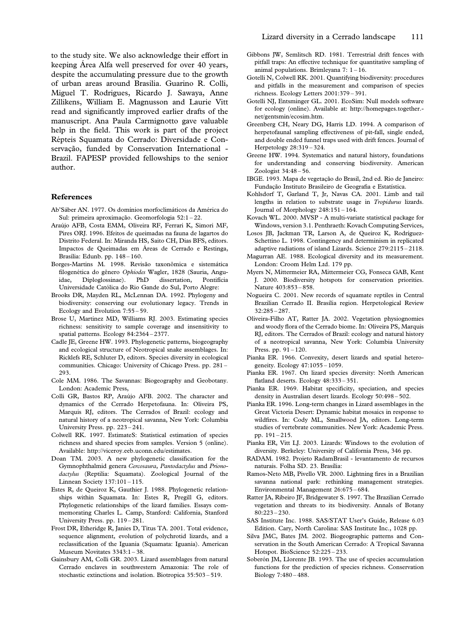to the study site. We also acknowledge their effort in keeping Area Alfa well preserved for over 40 years, despite the accumulating pressure due to the growth of urban areas around Brasilia. Guarino R. Colli, Miguel T. Rodrigues, Ricardo J. Sawaya, Anne Zillikens, William E. Magnusson and Laurie Vitt read and significantly improved earlier drafts of the manuscript. Ana Paula Carmignotto gave valuable help in the field. This work is part of the project Répteis Squamata do Cerrado: Diversidade e Conservação, funded by Conservation International -Brazil. FAPESP provided fellowships to the senior author.

#### References

- Ab'Sáber AN. 1977. Os domínios morfoclimáticos da América do Sul: primeira aproximação. Geomorfologia 52:1-22.
- Araújo AFB, Costa EMM, Oliveira RF, Ferrari K, Simori MF, Pires ORJ. 1996. Efeitos de queimadas na fauna de lagartos do Distrito Federal. In: Miranda HS, Saito CH, Dias BFS, editors. Impactos de Queimadas em Áreas de Cerrado e Restinga, Brasília: Edunb. pp. 148 – 160.
- Borges-Martins M. 1998. Revisão taxonômica e sistemática filogenética do gênero Ophiodes Wagler, 1828 (Sauria, Anguidae, Diploglossinae). PhD dissertation, Pontificia Universidade Católica do Rio Gande do Sul, Porto Alegre:
- Brooks DR, Mayden RL, McLennan DA. 1992. Phylogeny and biodiversity: conserving our evolutionary legacy. Trends in Ecology and Evolution 7:55 – 59.
- Brose U, Martinez MD, Williams RJ. 2003. Estimating species richness: sensitivity to sample coverage and insensitivity to spatial patterns. Ecology 84:2364 – 2377.
- Cadle JE, Greene HW. 1993. Phylogenetic patterns, biogeography and ecological structure of Neotropical snake assemblages. In: Ricklefs RE, Schluter D, editors. Species diversity in ecological communities. Chicago: University of Chicago Press. pp. 281 – 293.
- Cole MM. 1986. The Savannas: Biogeography and Geobotany. London: Academic Press,
- Colli GR, Bastos RP, Araújo AFB. 2002. The character and dynamics of the Cerrado Herpetofauna. In: Oliveira PS, Marquis RJ, editors. The Cerrados of Brazil: ecology and natural history of a neotropical savanna, New York: Columbia University Press. pp. 223 – 241.
- Colwell RK. 1997. EstimateS: Statistical estimation of species richness and shared species from samples. Version 5 (online). Available: http://viceroy.eeb.uconn.edu/estimates.
- Doan TM. 2003. A new phylogenetic classification for the Gymnophthalmid genera Cercosaura, Pantodactylus and Prionodactylus (Reptilia: Squamata). Zoological Journal of the Linnean Society 137:101 – 115.
- Estes R, de Queiroz K, Gauthier J. 1988. Phylogenetic relationships within Squamata. In: Estes R, Pregill G, editors. Phylogenetic relationships of the lizard families. Essays commemorating Charles L. Camp, Stanford: California, Stanford University Press. pp. 119-281.
- Frost DR, Etheridge R, Janies D, Titus TA. 2001. Total evidence, sequence alignment, evolution of polychrotid lizards, and a reclassification of the Iguania (Squamata: Iguania). American Museum Novitates 3343:1 – 38.
- Gainsbury AM, Colli GR. 2003. Lizard assemblages from natural Cerrado enclaves in southwestern Amazonia: The role of stochastic extinctions and isolation. Biotropica 35:503 – 519.
- Gibbons JW, Semlitsch RD. 1981. Terrestrial drift fences with pitfall traps: An effective technique for quantitative sampling of animal populations. Brimleyana  $7: 1-16$ .
- Gotelli N, Colwell RK. 2001. Quantifying biodiversity: procedures and pitfalls in the measurement and comparison of species richness. Ecology Letters 2001:379 – 391.
- Gotelli NJ, Entsminger GL. 2001. EcoSim: Null models software for ecology (online). Available at: http://homepages.together. net/gentsmin/ecosim.htm.
- Greenberg CH, Neary DG, Harris LD. 1994. A comparison of herpetofaunal sampling effectiveness of pit-fall, single ended, and double ended funnel traps used with drift fences. Journal of Herpetology 28:319 – 324.
- Greene HW. 1994. Systematics and natural history, foundations for understanding and conserving biodiversity. American Zoologist 34:48 – 56.
- IBGE. 1993. Mapa de vegetação do Brasil, 2nd ed. Rio de Janeiro: Fundação Instituto Brasileiro de Geografia e Estatística.
- Kohlsdorf T, Garland T, Jr, Navas CA. 2001. Limb and tail lengths in relation to substrate usage in Tropidurus lizards. Journal of Morphology 248:151 – 164.
- Kovach WL. 2000. MVSP A multi-variate statistical package for Windows, version 3.1. Penthraeth: Kovach Computing Services,
- Losos JB, Jackman TR, Larson A, de Queiroz K, Rodríguez-Schettino L. 1998. Contingency and determinism in replicated adaptive radiations of island Lizards. Science 279:2115 – 2118.
- Magurran AE. 1988. Ecological diversity and its measurement. London: Croom Helm Ltd. 179 pp.
- Myers N, Mittermeier RA, Mittermeier CG, Fonseca GAB, Kent J. 2000. Biodiversity hotspots for conservation priorities. Nature 403:853 – 858.
- Nogueira C. 2001. New records of squamate reptiles in Central Brazilian Cerrado II. Brasília region. Herpetological Review 32:285 – 287.
- Oliveira-Filho AT, Ratter JA. 2002. Vegetation physiognomies and woody flora of the Cerrado biome. In: Oliveira PS, Marquis RJ, editors. The Cerrados of Brazil: ecology and natural history of a neotropical savanna, New York: Columbia University Press. pp. 91 – 120.
- Pianka ER. 1966. Convexity, desert lizards and spatial heterogeneity. Ecology 47:1055 – 1059.
- Pianka ER. 1967. On lizard species diversity: North American flatland deserts. Ecology 48:333 – 351.
- Pianka ER. 1969. Habitat specificity, speciation, and species density in Australian desert lizards. Ecology 50:498 – 502.
- Pianka ER. 1996. Long-term changes in Lizard assemblages in the Great Victoria Desert: Dynamic habitat mosaics in response to wildfires. In: Cody ML, Smallwood JA, editors. Long-term studies of vertebrate communities. New York: Academic Press. pp. 191 – 215.
- Pianka ER, Vitt LJ. 2003. Lizards: Windows to the evolution of diversity. Berkeley: University of California Press, 346 pp.
- RADAM. 1982. Projeto RadamBrasil levantamento de recursos naturais. Folha SD. 23. Brasília:
- Ramos-Neto MB, Pivello VR. 2000. Lightning fires in a Brazilian savanna national park: rethinking management strategies. Environmental Management 26:675 – 684.
- Ratter JA, Ribeiro JF, Bridgewater S. 1997. The Brazilian Cerrado vegetation and threats to its biodiversity. Annals of Botany 80:223 – 230.
- SAS Institute Inc. 1988. SAS/STAT User's Guide, Release 6.03 Edition. Cary, North Carolina: SAS Institute Inc., 1028 pp.
- Silva JMC, Bates JM. 2002. Biogeographic patterns and Conservation in the South American Cerrado: A Tropical Savanna Hotspot. BioScience 52:225 – 233.
- Soberón JM, Llorente JB. 1993. The use of species accumulation functions for the prediction of species richness. Conservation Biology 7:480 – 488.